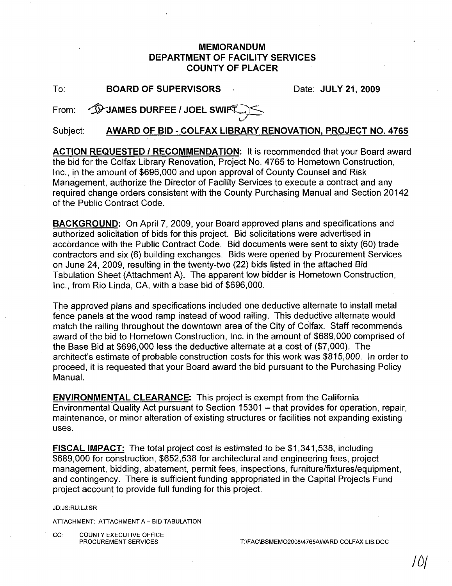## MEMORANDUM DEPARTMENT OF FACILITY SERVICES COUNTY OF PLACER

To: BOARD OF SUPERVISORS Date: JULY 21, 2009

From: JPJAMES DURFEE / JOEL SWIFT

Subject: AWARD OF BID - COLFAX LIBRARY RENOVATION, PROJECT NO. 4765

ACTION REQUESTED / RECOMMENDATION: It is recommended that your Board award the bid for the Colfax Library Renovation, Project No. 4765 to Hometown Construction, Inc., in the amount of \$696,000 and upon approval of County Counsel and Risk Management, authorize the Director of Facility Services to execute a contract and any required change orders consistent with the County Purchasing Manual and Section 20142 of the Public Contract Code.

BACKGROUND: On April 7, 2009, your Board approved plans and specifications and authorized solicitation of bids for this project. Bid solicitations were advertised in accordance with the Public Contract Code. Bid documents were sent to sixty (60) trade contractors and six (6) building exchanges. Bids were opened by Procurement Services on June 24, 2009, resulting in the twenty-two (22) bids listed in the attached Bid Tabulation Sheet (Attachment A). The apparent low bidder is Hometown Construction, Inc., from Rio Linda, CA, with a base bid of \$696,000.

The approved plans and specifications included one deductive alternate to install metal fence panels at the wood ramp instead of wood railing. This deductive alternate would match the railing throughout the downtown area of the City of Colfax. Staff recommends award of the bid to Hometown Construction, Inc. in the amount of \$689,000 comprised of the Base Bid at \$696,000 less the deductive alternate at a cost of (\$7,000). The architect's estimate of probable construction costs for this work was \$815,000. In order to proceed, it is requested that your Board award the bid pursuant to the Purchasing Policy Manual.

ENVIRONMENTAL CLEARANCE: This project is exempt from the California Environmental Quality Act pursuant to Section 15301 - that provides for operation, repair, maintenance, or minor alteration of existing structures or facilities not expanding existing uses.

FISCAL IMPACT: The total project cost is estimated to be \$1,341,538, including \$689,000 for construction, \$652,538 for architectural and engineering fees, project management, bidding, abatement, permit fees, inspections, furniture/fixtures/equipment, and contingency. There is sufficient funding appropriated in the Capital Projects Fund project account to provide full funding for this project.

JD:JS:RU:LJ:SR

ATTACHMENT: ATTACHMENT A - BID TABULATION

CC: COUNTY EXECUTIVE OFFICE